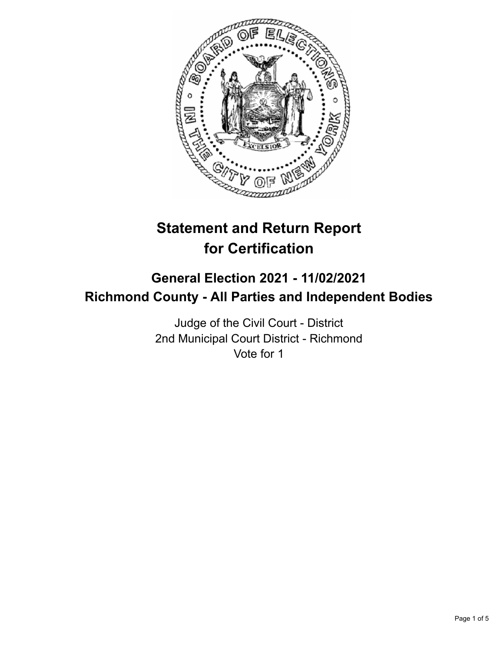

# **Statement and Return Report for Certification**

# **General Election 2021 - 11/02/2021 Richmond County - All Parties and Independent Bodies**

Judge of the Civil Court - District 2nd Municipal Court District - Richmond Vote for 1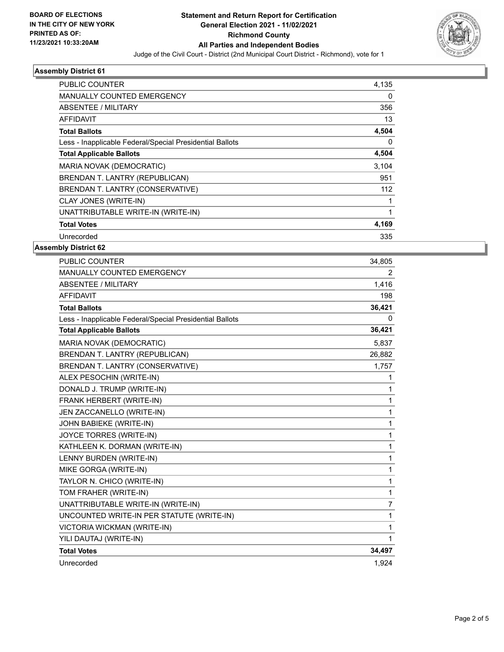

# **Assembly District 61**

| <b>PUBLIC COUNTER</b>                                    | 4.135 |
|----------------------------------------------------------|-------|
| MANUALLY COUNTED EMERGENCY                               | 0     |
| ABSENTEE / MILITARY                                      | 356   |
| <b>AFFIDAVIT</b>                                         | 13    |
| <b>Total Ballots</b>                                     | 4,504 |
| Less - Inapplicable Federal/Special Presidential Ballots | 0     |
| <b>Total Applicable Ballots</b>                          | 4,504 |
| MARIA NOVAK (DEMOCRATIC)                                 | 3,104 |
| BRENDAN T. LANTRY (REPUBLICAN)                           | 951   |
| BRENDAN T. LANTRY (CONSERVATIVE)                         | 112   |
| CLAY JONES (WRITE-IN)                                    | 1     |
| UNATTRIBUTABLE WRITE-IN (WRITE-IN)                       | 1     |
| <b>Total Votes</b>                                       | 4,169 |
| Unrecorded                                               | 335   |
|                                                          |       |

#### **Assembly District 62**

| PUBLIC COUNTER                                           | 34,805         |
|----------------------------------------------------------|----------------|
| <b>MANUALLY COUNTED EMERGENCY</b>                        | 2              |
| <b>ABSENTEE / MILITARY</b>                               | 1,416          |
| <b>AFFIDAVIT</b>                                         | 198            |
| <b>Total Ballots</b>                                     | 36,421         |
| Less - Inapplicable Federal/Special Presidential Ballots | 0              |
| <b>Total Applicable Ballots</b>                          | 36,421         |
| MARIA NOVAK (DEMOCRATIC)                                 | 5,837          |
| BRENDAN T. LANTRY (REPUBLICAN)                           | 26,882         |
| BRENDAN T. LANTRY (CONSERVATIVE)                         | 1,757          |
| ALEX PESOCHIN (WRITE-IN)                                 | 1              |
| DONALD J. TRUMP (WRITE-IN)                               | 1              |
| FRANK HERBERT (WRITE-IN)                                 | 1              |
| JEN ZACCANELLO (WRITE-IN)                                | 1              |
| JOHN BABIEKE (WRITE-IN)                                  | 1              |
| JOYCE TORRES (WRITE-IN)                                  | 1              |
| KATHLEEN K. DORMAN (WRITE-IN)                            | 1              |
| LENNY BURDEN (WRITE-IN)                                  | 1              |
| MIKE GORGA (WRITE-IN)                                    | 1              |
| TAYLOR N. CHICO (WRITE-IN)                               | 1              |
| TOM FRAHER (WRITE-IN)                                    | 1              |
| UNATTRIBUTABLE WRITE-IN (WRITE-IN)                       | $\overline{7}$ |
| UNCOUNTED WRITE-IN PER STATUTE (WRITE-IN)                | 1              |
| VICTORIA WICKMAN (WRITE-IN)                              | 1              |
| YILI DAUTAJ (WRITE-IN)                                   | 1              |
| <b>Total Votes</b>                                       | 34,497         |
| Unrecorded                                               | 1,924          |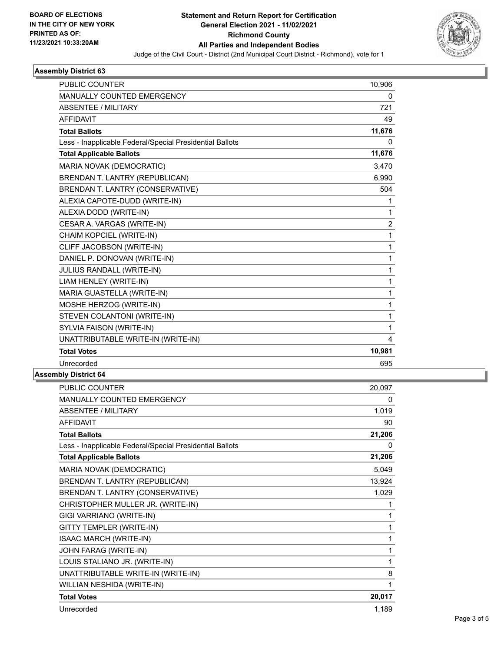

# **Assembly District 63**

| <b>PUBLIC COUNTER</b>                                    | 10,906         |
|----------------------------------------------------------|----------------|
| <b>MANUALLY COUNTED EMERGENCY</b>                        | 0              |
| <b>ABSENTEE / MILITARY</b>                               | 721            |
| <b>AFFIDAVIT</b>                                         | 49             |
| <b>Total Ballots</b>                                     | 11,676         |
| Less - Inapplicable Federal/Special Presidential Ballots | 0              |
| <b>Total Applicable Ballots</b>                          | 11,676         |
| MARIA NOVAK (DEMOCRATIC)                                 | 3,470          |
| BRENDAN T. LANTRY (REPUBLICAN)                           | 6.990          |
| BRENDAN T. LANTRY (CONSERVATIVE)                         | 504            |
| ALEXIA CAPOTE-DUDD (WRITE-IN)                            | 1              |
| ALEXIA DODD (WRITE-IN)                                   | 1              |
| CESAR A. VARGAS (WRITE-IN)                               | $\overline{c}$ |
| CHAIM KOPCIEL (WRITE-IN)                                 | 1              |
| CLIFF JACOBSON (WRITE-IN)                                | 1              |
| DANIEL P. DONOVAN (WRITE-IN)                             | 1              |
| JULIUS RANDALL (WRITE-IN)                                | 1              |
| LIAM HENLEY (WRITE-IN)                                   | 1              |
| MARIA GUASTELLA (WRITE-IN)                               | 1              |
| MOSHE HERZOG (WRITE-IN)                                  | 1              |
| STEVEN COLANTONI (WRITE-IN)                              | 1              |
| SYLVIA FAISON (WRITE-IN)                                 | 1              |
| UNATTRIBUTABLE WRITE-IN (WRITE-IN)                       | 4              |
| <b>Total Votes</b>                                       | 10,981         |
| Unrecorded                                               | 695            |

### **Assembly District 64**

| PUBLIC COUNTER                                           | 20,097 |
|----------------------------------------------------------|--------|
| MANUALLY COUNTED EMERGENCY                               | 0      |
| ABSENTEE / MILITARY                                      | 1,019  |
| <b>AFFIDAVIT</b>                                         | 90     |
| <b>Total Ballots</b>                                     | 21,206 |
| Less - Inapplicable Federal/Special Presidential Ballots | 0      |
| <b>Total Applicable Ballots</b>                          | 21,206 |
| MARIA NOVAK (DEMOCRATIC)                                 | 5,049  |
| BRENDAN T. LANTRY (REPUBLICAN)                           | 13,924 |
| BRENDAN T. LANTRY (CONSERVATIVE)                         | 1,029  |
| CHRISTOPHER MULLER JR. (WRITE-IN)                        | 1      |
| GIGI VARRIANO (WRITE-IN)                                 | 1      |
| <b>GITTY TEMPLER (WRITE-IN)</b>                          | 1      |
| <b>ISAAC MARCH (WRITE-IN)</b>                            | 1      |
| JOHN FARAG (WRITE-IN)                                    | 1      |
| LOUIS STALIANO JR. (WRITE-IN)                            | 1      |
| UNATTRIBUTABLE WRITE-IN (WRITE-IN)                       | 8      |
| WILLIAN NESHIDA (WRITE-IN)                               | 1      |
| <b>Total Votes</b>                                       | 20,017 |
| Unrecorded                                               | 1,189  |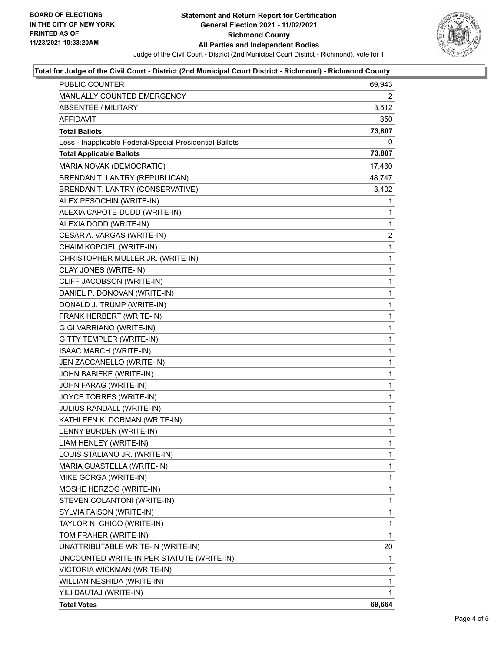

#### **Total for Judge of the Civil Court - District (2nd Municipal Court District - Richmond) - Richmond County**

| <b>PUBLIC COUNTER</b>                                    | 69,943 |
|----------------------------------------------------------|--------|
| MANUALLY COUNTED EMERGENCY                               | 2      |
| <b>ABSENTEE / MILITARY</b>                               | 3,512  |
| AFFIDAVIT                                                | 350    |
| <b>Total Ballots</b>                                     | 73,807 |
| Less - Inapplicable Federal/Special Presidential Ballots | 0      |
| <b>Total Applicable Ballots</b>                          | 73,807 |
| MARIA NOVAK (DEMOCRATIC)                                 | 17,460 |
| BRENDAN T. LANTRY (REPUBLICAN)                           | 48,747 |
| BRENDAN T. LANTRY (CONSERVATIVE)                         | 3,402  |
| ALEX PESOCHIN (WRITE-IN)                                 | 1      |
| ALEXIA CAPOTE-DUDD (WRITE-IN)                            | 1      |
| ALEXIA DODD (WRITE-IN)                                   | 1      |
| CESAR A. VARGAS (WRITE-IN)                               | 2      |
| CHAIM KOPCIEL (WRITE-IN)                                 | 1      |
| CHRISTOPHER MULLER JR. (WRITE-IN)                        | 1      |
| CLAY JONES (WRITE-IN)                                    | 1      |
| CLIFF JACOBSON (WRITE-IN)                                | 1      |
| DANIEL P. DONOVAN (WRITE-IN)                             | 1      |
| DONALD J. TRUMP (WRITE-IN)                               | 1      |
| FRANK HERBERT (WRITE-IN)                                 | 1      |
| GIGI VARRIANO (WRITE-IN)                                 | 1      |
| GITTY TEMPLER (WRITE-IN)                                 | 1      |
| ISAAC MARCH (WRITE-IN)                                   | 1      |
| JEN ZACCANELLO (WRITE-IN)                                | 1      |
| JOHN BABIEKE (WRITE-IN)                                  | 1      |
| JOHN FARAG (WRITE-IN)                                    | 1      |
| JOYCE TORRES (WRITE-IN)                                  | 1      |
| JULIUS RANDALL (WRITE-IN)                                | 1      |
| KATHLEEN K. DORMAN (WRITE-IN)                            | 1      |
| LENNY BURDEN (WRITE-IN)                                  | 1      |
| LIAM HENLEY (WRITE-IN)                                   | 1      |
| LOUIS STALIANO JR. (WRITE-IN)                            | 1      |
| MARIA GUASTELLA (WRITE-IN)                               | 1      |
| MIKE GORGA (WRITE-IN)                                    | 1      |
| MOSHE HERZOG (WRITE-IN)                                  | 1      |
| STEVEN COLANTONI (WRITE-IN)                              | 1      |
| SYLVIA FAISON (WRITE-IN)                                 | 1      |
| TAYLOR N. CHICO (WRITE-IN)                               | 1      |
| TOM FRAHER (WRITE-IN)                                    | 1      |
| UNATTRIBUTABLE WRITE-IN (WRITE-IN)                       | 20     |
| UNCOUNTED WRITE-IN PER STATUTE (WRITE-IN)                | 1      |
| VICTORIA WICKMAN (WRITE-IN)                              | 1      |
| WILLIAN NESHIDA (WRITE-IN)                               | 1      |
| YILI DAUTAJ (WRITE-IN)                                   | 1      |
| <b>Total Votes</b>                                       | 69,664 |